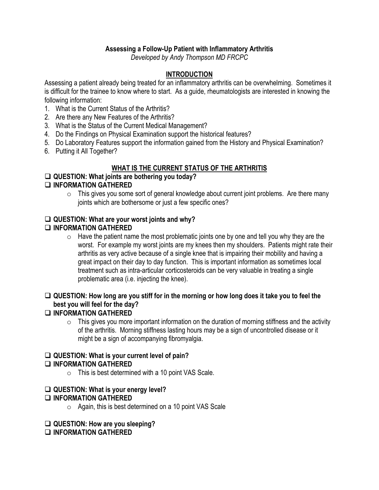# **Assessing a Follow-Up Patient with Inflammatory Arthritis**

*Developed by Andy Thompson MD FRCPC*

# **INTRODUCTION**

Assessing a patient already being treated for an inflammatory arthritis can be overwhelming. Sometimes it is difficult for the trainee to know where to start. As a guide, rheumatologists are interested in knowing the following information:

- 1. What is the Current Status of the Arthritis?
- 2. Are there any New Features of the Arthritis?
- 3. What is the Status of the Current Medical Management?
- 4. Do the Findings on Physical Examination support the historical features?
- 5. Do Laboratory Features support the information gained from the History and Physical Examination?
- 6. Putting it All Together?

# **WHAT IS THE CURRENT STATUS OF THE ARTHRITIS**

## **QUESTION: What joints are bothering you today?**

## **INFORMATION GATHERED**

 $\circ$  This gives you some sort of general knowledge about current joint problems. Are there many joints which are bothersome or just a few specific ones?

## **QUESTION: What are your worst joints and why?**

# **INFORMATION GATHERED**

 $\circ$  Have the patient name the most problematic joints one by one and tell you why they are the worst. For example my worst joints are my knees then my shoulders. Patients might rate their arthritis as very active because of a single knee that is impairing their mobility and having a great impact on their day to day function. This is important information as sometimes local treatment such as intra-articular corticosteroids can be very valuable in treating a single problematic area (i.e. injecting the knee).

# **QUESTION: How long are you stiff for in the morning or how long does it take you to feel the best you will feel for the day?**

## **INFORMATION GATHERED**

 $\circ$  This gives you more important information on the duration of morning stiffness and the activity of the arthritis. Morning stiffness lasting hours may be a sign of uncontrolled disease or it might be a sign of accompanying fibromyalgia.

# **QUESTION: What is your current level of pain?**

## **INFORMATION GATHERED**

 $\circ$  This is best determined with a 10 point VAS Scale.

#### **QUESTION: What is your energy level? INFORMATION GATHERED**

 $\circ$  Again, this is best determined on a 10 point VAS Scale

## **QUESTION: How are you sleeping?**

**INFORMATION GATHERED**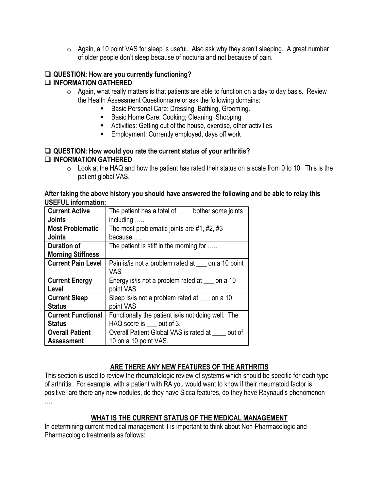o Again, a 10 point VAS for sleep is useful. Also ask why they aren't sleeping. A great number of older people don't sleep because of nocturia and not because of pain.

## **QUESTION: How are you currently functioning? INFORMATION GATHERED**

- $\circ$  Again, what really matters is that patients are able to function on a day to day basis. Review the Health Assessment Questionnaire or ask the following domains:
	- Basic Personal Care: Dressing, Bathing, Grooming.
	- Basic Home Care: Cooking; Cleaning; Shopping
	- Activities: Getting out of the house, exercise, other activities
	- **Employment: Currently employed, days off work**

## **QUESTION: How would you rate the current status of your arthritis? INFORMATION GATHERED**

 $\circ$  Look at the HAQ and how the patient has rated their status on a scale from 0 to 10. This is the patient global VAS.

#### **After taking the above history you should have answered the following and be able to relay this USEFUL information:**

| <b>Current Active</b>     | The patient has a total of _____ bother some joints |
|---------------------------|-----------------------------------------------------|
| <b>Joints</b>             | including                                           |
| <b>Most Problematic</b>   | The most problematic joints are #1, #2, #3          |
| <b>Joints</b>             | because                                             |
| <b>Duration of</b>        | The patient is stiff in the morning for             |
| <b>Morning Stiffness</b>  |                                                     |
| <b>Current Pain Level</b> | Pain is/is not a problem rated at some a 10 point   |
|                           | <b>VAS</b>                                          |
| <b>Current Energy</b>     | Energy is/is not a problem rated at some a 10       |
| Level                     | point VAS                                           |
| <b>Current Sleep</b>      | Sleep is/is not a problem rated at some a 10        |
| <b>Status</b>             | point VAS                                           |
| <b>Current Functional</b> | Functionally the patient is/ is not doing well. The |
| <b>Status</b>             | HAQ score is <u>out</u> of 3.                       |
| <b>Overall Patient</b>    | Overall Patient Global VAS is rated at out of       |
| <b>Assessment</b>         | 10 on a 10 point VAS.                               |

# **ARE THERE ANY NEW FEATURES OF THE ARTHRITIS**

This section is used to review the rheumatologic review of systems which should be specific for each type of arthritis. For example, with a patient with RA you would want to know if their rheumatoid factor is positive, are there any new nodules, do they have Sicca features, do they have Raynaud's phenomenon ….

# **WHAT IS THE CURRENT STATUS OF THE MEDICAL MANAGEMENT**

In determining current medical management it is important to think about Non-Pharmacologic and Pharmacologic treatments as follows: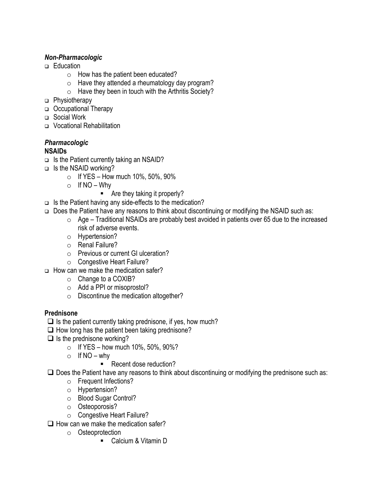# *Non-Pharmacologic*

- □ Education
	- $\circ$  How has the patient been educated?
	- $\circ$  Have they attended a rheumatology day program?
	- $\circ$  Have they been in touch with the Arthritis Society?
- □ Physiotherapy
- Occupational Therapy
- Social Work
- □ Vocational Rehabilitation

#### *Pharmacologic*  **NSAIDs**

- $\Box$  Is the Patient currently taking an NSAID?
- $\Box$  Is the NSAID working?
	- $\circ$  If YES How much 10%, 50%, 90%
	- $\circ$  If NO Why
		- Are they taking it properly?
- $\Box$  Is the Patient having any side-effects to the medication?
- □ Does the Patient have any reasons to think about discontinuing or modifying the NSAID such as:
	- $\circ$  Age Traditional NSAIDs are probably best avoided in patients over 65 due to the increased risk of adverse events.
	- o Hypertension?
	- o Renal Failure?
	- o Previous or current GI ulceration?
	- o Congestive Heart Failure?
- $\Box$  How can we make the medication safer?
	- o Change to a COXIB?
	- o Add a PPI or misoprostol?
	- o Discontinue the medication altogether?

# **Prednisone**

- $\Box$  Is the patient currently taking prednisone, if yes, how much?
- $\Box$  How long has the patient been taking prednisone?
- $\Box$  Is the prednisone working?
	- $\circ$  If YES how much 10%, 50%, 90%?
	- $\circ$  If NO why
		- Recent dose reduction?
- $\square$  Does the Patient have any reasons to think about discontinuing or modifying the prednisone such as:
	- o Frequent Infections?
	- o Hypertension?
	- o Blood Sugar Control?
	- o Osteoporosis?
	- o Congestive Heart Failure?
- $\Box$  How can we make the medication safer?
	- o Osteoprotection
		- Calcium & Vitamin D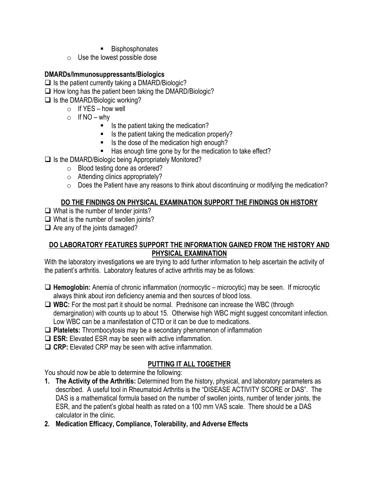- **Bisphosphonates**
- $\circ$  Use the lowest possible dose

# **DMARDs/Immunosuppressants/Biologics**

- $\Box$  Is the patient currently taking a DMARD/Biologic?
- $\Box$  How long has the patient been taking the DMARD/Biologic?
- $\Box$  Is the DMARD/Biologic working?
	- $\circ$  If YES how well
	- $\circ$  If NO why
		- $\blacksquare$  Is the patient taking the medication?
		- $\blacksquare$  Is the patient taking the medication properly?
		- Is the dose of the medication high enough?
		- Has enough time gone by for the medication to take effect?
- $\Box$  Is the DMARD/Biologic being Appropriately Monitored?
	- o Blood testing done as ordered?
	- $\circ$  Attending clinics appropriately?
	- $\circ$  Does the Patient have any reasons to think about discontinuing or modifying the medication?

## **DO THE FINDINGS ON PHYSICAL EXAMINATION SUPPORT THE FINDINGS ON HISTORY**

- $\Box$  What is the number of tender joints?
- $\Box$  What is the number of swollen joints?

 $\Box$  Are any of the joints damaged?

## **DO LABORATORY FEATURES SUPPORT THE INFORMATION GAINED FROM THE HISTORY AND PHYSICAL EXAMINATION**

With the laboratory investigations we are trying to add further information to help ascertain the activity of the patient's arthritis. Laboratory features of active arthritis may be as follows:

- **Hemoglobin:** Anemia of chronic inflammation (normocytic microcytic) may be seen. If microcytic always think about iron deficiency anemia and then sources of blood loss.
- **WBC:** For the most part it should be normal. Prednisone can increase the WBC (through demargination) with counts up to about 15. Otherwise high WBC might suggest concomitant infection. Low WBC can be a manifestation of CTD or it can be due to medications.
- **Platelets:** Thrombocytosis may be a secondary phenomenon of inflammation
- **ESR:** Elevated ESR may be seen with active inflammation.
- **CRP:** Elevated CRP may be seen with active inflammation.

# **PUTTING IT ALL TOGETHER**

You should now be able to determine the following:

- **1. The Activity of the Arthritis:** Determined from the history, physical, and laboratory parameters as described. A useful tool in Rheumatoid Arthritis is the "DISEASE ACTIVITY SCORE or DAS". The DAS is a mathematical formula based on the number of swollen joints, number of tender joints, the ESR, and the patient's global health as rated on a 100 mm VAS scale. There should be a DAS calculator in the clinic.
- **2. Medication Efficacy, Compliance, Tolerability, and Adverse Effects**